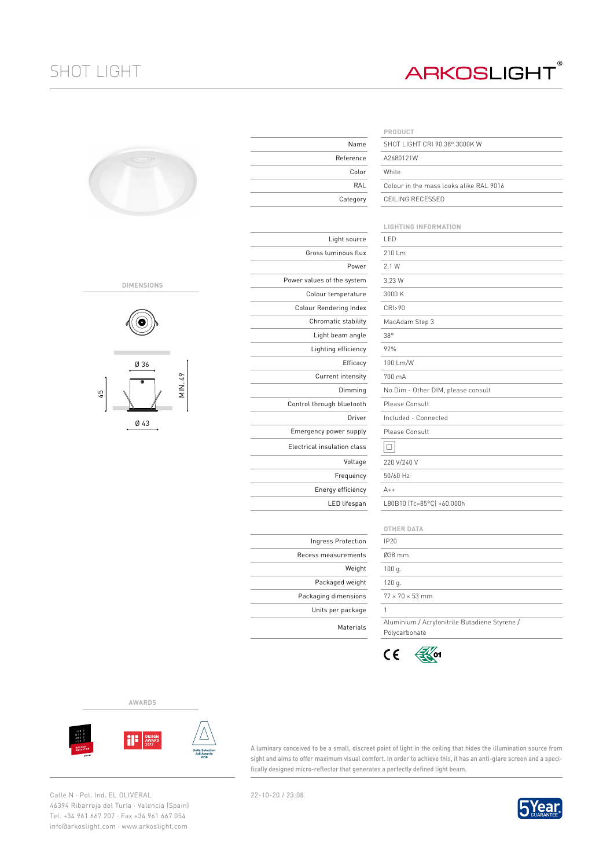## SHOT LIGHT

## **ARKOSLIGHT®**

| ۰ |  |
|---|--|
|   |  |

## **DIMENSIONS**



Ø 43

|                             | PRODUCT                     |
|-----------------------------|-----------------------------|
| Name                        | SHOT LIGHT CRI              |
| Reference                   | A2680121W                   |
| Color                       | White                       |
| RAL                         | Colour in the ma            |
| Category                    | CEILING RECESS              |
|                             |                             |
|                             | <b>LIGHTING INFOI</b>       |
| Light source                | LED                         |
| Gross luminous flux         | 210 Lm                      |
| Power                       | 2.1 W                       |
| Power values of the system  | 3,23 W                      |
| Colour temperature          | 3000 K                      |
| Colour Rendering Index      | CRI>90                      |
| Chromatic stability         | MacAdam Step 3              |
| Light beam angle            | $38^\circ$                  |
| Lighting efficiency         | 92%                         |
| Efficacy                    | 100 Lm/W                    |
| Current intensity           | 700 mA                      |
| Dimming                     | No Dim - Other I            |
| Control through bluetooth   | Please Consult              |
| Driver                      | Included - Conne            |
| Emergency power supply      | Please Consult              |
| Electrical insulation class | $\Box$                      |
| Voltage                     | 220 V/240 V                 |
| Frequency                   | 50/60 Hz                    |
| Energy efficiency           | $A++$                       |
| LED lifespan                | L80B10 (Tc=85°C             |
|                             |                             |
|                             | <b>OTHER DATA</b>           |
| Ingress Protection          | <b>IP20</b>                 |
| Recess measurements         | Ø38 mm.                     |
| Weight                      | 100q.                       |
| Packaged weight             | 120 g.                      |
| Packaging dimensions        | $77 \times 70 \times 53$ mm |
| Units per package           | 1                           |
| Motoriale                   | Aluminium / Acr             |

|                  | PRODUCT                                 |  |  |  |  |  |  |
|------------------|-----------------------------------------|--|--|--|--|--|--|
| Name             | SHOT LIGHT CRI 90 38° 3000K W           |  |  |  |  |  |  |
| <b>Reference</b> | A2680121W                               |  |  |  |  |  |  |
| Color            | White                                   |  |  |  |  |  |  |
| RAL              | Colour in the mass looks alike RAL 9016 |  |  |  |  |  |  |
| Category         | CEILING RECESSED                        |  |  |  |  |  |  |
|                  |                                         |  |  |  |  |  |  |
|                  | <b>LIGHTING INFORMATION</b>             |  |  |  |  |  |  |
| ht source        | I FD                                    |  |  |  |  |  |  |
| nous flux        | 210 Lm                                  |  |  |  |  |  |  |
| Power            | 2.1 W                                   |  |  |  |  |  |  |
| e system         | 3,23 W                                  |  |  |  |  |  |  |
| <i>perature</i>  | 3000 K                                  |  |  |  |  |  |  |
| ing Index        | CRI>90                                  |  |  |  |  |  |  |
| c stability      | MacAdam Step 3                          |  |  |  |  |  |  |
| am angle         | $38^\circ$                              |  |  |  |  |  |  |
| efficiency       | 92%                                     |  |  |  |  |  |  |
| Efficacy         | 100 Lm/W                                |  |  |  |  |  |  |
| intensity        | 700 mA                                  |  |  |  |  |  |  |
| Dimming          | No Dim - Other DIM, please consult      |  |  |  |  |  |  |
| bluetooth        | Please Consult                          |  |  |  |  |  |  |
| Driver           | Included - Connected                    |  |  |  |  |  |  |
| er supply        | Please Consult                          |  |  |  |  |  |  |
| tion class       |                                         |  |  |  |  |  |  |

 $A_{++}$ L80B10 (Tc=85°C) >60.000h

|                        | OTHER DATA                                    |
|------------------------|-----------------------------------------------|
| <sup>2</sup> rotection | IP20                                          |
| urements               | $0.38$ mm.                                    |
| Weight                 | 100q.                                         |
| ed weight              | 120q.                                         |
| mensions               | $77 \times 70 \times 53$ mm                   |
| r package              |                                               |
| Materials              | Aluminium / Acrylonitrile Butadiene Styrene / |
|                        | Polycarbonate                                 |



**AWARDS**



A luminary conceived to be a small, discreet point of light in the ceiling that hides the illumination source from sight and aims to offer maximum visual comfort. In order to achieve this, it has an anti-glare screen and a specifically designed micro-reflector that generates a perfectly defined light beam.

Calle N · Pol. Ind. EL OLIVERAL 22-10-20 / 23:08 46394 Ribarroja del Turia · Valencia (Spain) Tel. +34 961 667 207 · Fax +34 961 667 054 info@arkoslight.com · www.arkoslight.com